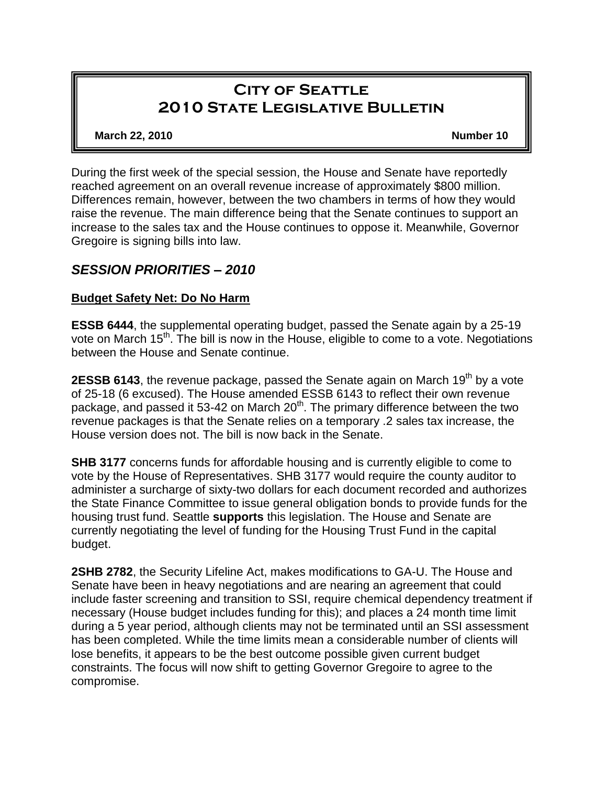# **City of Seattle 2010 State Legislative Bulletin**

**March 22, 2010 Number 10**

During the first week of the special session, the House and Senate have reportedly reached agreement on an overall revenue increase of approximately \$800 million. Differences remain, however, between the two chambers in terms of how they would raise the revenue. The main difference being that the Senate continues to support an increase to the sales tax and the House continues to oppose it. Meanwhile, Governor Gregoire is signing bills into law.

## *SESSION PRIORITIES – 2010*

## **Budget Safety Net: Do No Harm**

**ESSB 6444**, the supplemental operating budget, passed the Senate again by a 25-19 vote on March 15<sup>th</sup>. The bill is now in the House, eligible to come to a vote. Negotiations between the House and Senate continue.

**2ESSB 6143**, the revenue package, passed the Senate again on March 19<sup>th</sup> by a vote of 25-18 (6 excused). The House amended ESSB 6143 to reflect their own revenue package, and passed it 53-42 on March 20<sup>th</sup>. The primary difference between the two revenue packages is that the Senate relies on a temporary .2 sales tax increase, the House version does not. The bill is now back in the Senate.

**SHB 3177** concerns funds for affordable housing and is currently eligible to come to vote by the House of Representatives. SHB 3177 would require the county auditor to administer a surcharge of sixty-two dollars for each document recorded and authorizes the State Finance Committee to issue general obligation bonds to provide funds for the housing trust fund. Seattle **supports** this legislation. The House and Senate are currently negotiating the level of funding for the Housing Trust Fund in the capital budget.

**2SHB 2782**, the Security Lifeline Act, makes modifications to GA-U. The House and Senate have been in heavy negotiations and are nearing an agreement that could include faster screening and transition to SSI, require chemical dependency treatment if necessary (House budget includes funding for this); and places a 24 month time limit during a 5 year period, although clients may not be terminated until an SSI assessment has been completed. While the time limits mean a considerable number of clients will lose benefits, it appears to be the best outcome possible given current budget constraints. The focus will now shift to getting Governor Gregoire to agree to the compromise.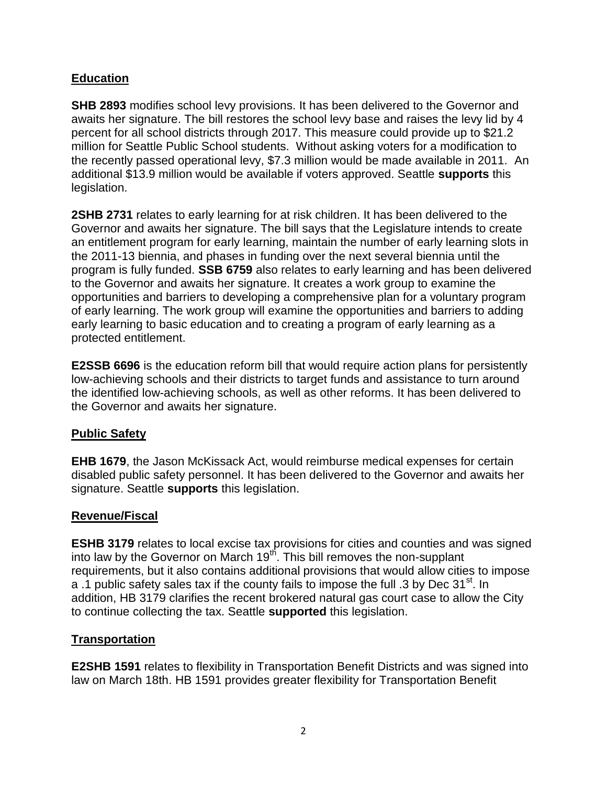## **Education**

**SHB 2893** modifies school levy provisions. It has been delivered to the Governor and awaits her signature. The bill restores the school levy base and raises the levy lid by 4 percent for all school districts through 2017. This measure could provide up to \$21.2 million for Seattle Public School students. Without asking voters for a modification to the recently passed operational levy, \$7.3 million would be made available in 2011. An additional \$13.9 million would be available if voters approved. Seattle **supports** this legislation.

**2SHB 2731** relates to early learning for at risk children. It has been delivered to the Governor and awaits her signature. The bill says that the Legislature intends to create an entitlement program for early learning, maintain the number of early learning slots in the 2011-13 biennia, and phases in funding over the next several biennia until the program is fully funded. **SSB 6759** also relates to early learning and has been delivered to the Governor and awaits her signature. It creates a work group to examine the opportunities and barriers to developing a comprehensive plan for a voluntary program of early learning. The work group will examine the opportunities and barriers to adding early learning to basic education and to creating a program of early learning as a protected entitlement.

**E2SSB 6696** is the education reform bill that would require action plans for persistently low-achieving schools and their districts to target funds and assistance to turn around the identified low-achieving schools, as well as other reforms. It has been delivered to the Governor and awaits her signature.

## **Public Safety**

**EHB 1679**, the Jason McKissack Act, would reimburse medical expenses for certain disabled public safety personnel. It has been delivered to the Governor and awaits her signature. Seattle **supports** this legislation.

## **Revenue/Fiscal**

**ESHB 3179** relates to local excise tax provisions for cities and counties and was signed into law by the Governor on March 19<sup>th</sup>. This bill removes the non-supplant requirements, but it also contains additional provisions that would allow cities to impose a .1 public safety sales tax if the county fails to impose the full .3 by Dec 31<sup>st</sup>. In addition, HB 3179 clarifies the recent brokered natural gas court case to allow the City to continue collecting the tax. Seattle **supported** this legislation.

## **Transportation**

**E2SHB 1591** relates to flexibility in Transportation Benefit Districts and was signed into law on March 18th. HB 1591 provides greater flexibility for Transportation Benefit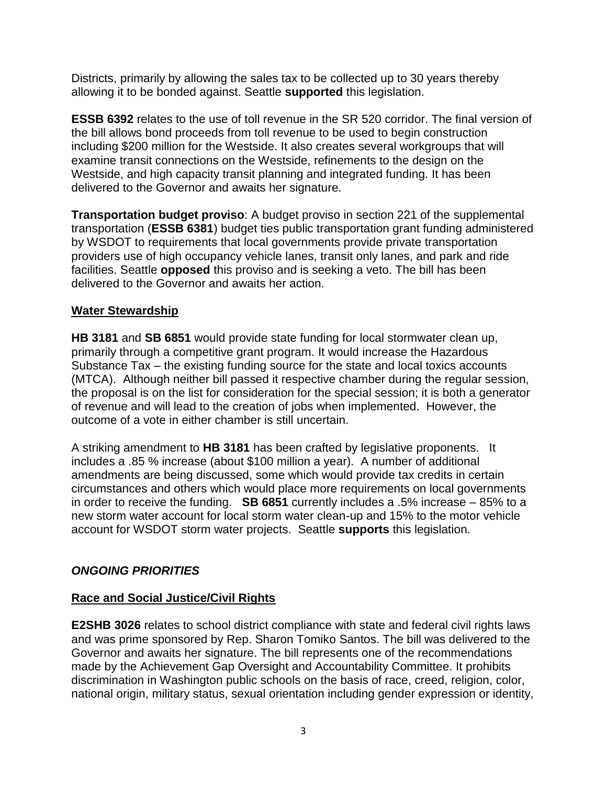Districts, primarily by allowing the sales tax to be collected up to 30 years thereby allowing it to be bonded against. Seattle **supported** this legislation.

**ESSB 6392** relates to the use of toll revenue in the SR 520 corridor. The final version of the bill allows bond proceeds from toll revenue to be used to begin construction including \$200 million for the Westside. It also creates several workgroups that will examine transit connections on the Westside, refinements to the design on the Westside, and high capacity transit planning and integrated funding. It has been delivered to the Governor and awaits her signature.

**Transportation budget proviso**: A budget proviso in section 221 of the supplemental transportation (**ESSB 6381**) budget ties public transportation grant funding administered by WSDOT to requirements that local governments provide private transportation providers use of high occupancy vehicle lanes, transit only lanes, and park and ride facilities. Seattle **opposed** this proviso and is seeking a veto. The bill has been delivered to the Governor and awaits her action.

#### **Water Stewardship**

**HB 3181** and **SB 6851** would provide state funding for local stormwater clean up, primarily through a competitive grant program. It would increase the Hazardous Substance Tax – the existing funding source for the state and local toxics accounts (MTCA). Although neither bill passed it respective chamber during the regular session, the proposal is on the list for consideration for the special session; it is both a generator of revenue and will lead to the creation of jobs when implemented. However, the outcome of a vote in either chamber is still uncertain.

A striking amendment to **HB 3181** has been crafted by legislative proponents. It includes a .85 % increase (about \$100 million a year). A number of additional amendments are being discussed, some which would provide tax credits in certain circumstances and others which would place more requirements on local governments in order to receive the funding. **SB 6851** currently includes a .5% increase – 85% to a new storm water account for local storm water clean-up and 15% to the motor vehicle account for WSDOT storm water projects. Seattle **supports** this legislation.

## *ONGOING PRIORITIES*

## **Race and Social Justice/Civil Rights**

**E2SHB 3026** relates to school district compliance with state and federal civil rights laws and was prime sponsored by Rep. Sharon Tomiko Santos. The bill was delivered to the Governor and awaits her signature. The bill represents one of the recommendations made by the Achievement Gap Oversight and Accountability Committee. It prohibits discrimination in Washington public schools on the basis of race, creed, religion, color, national origin, military status, sexual orientation including gender expression or identity,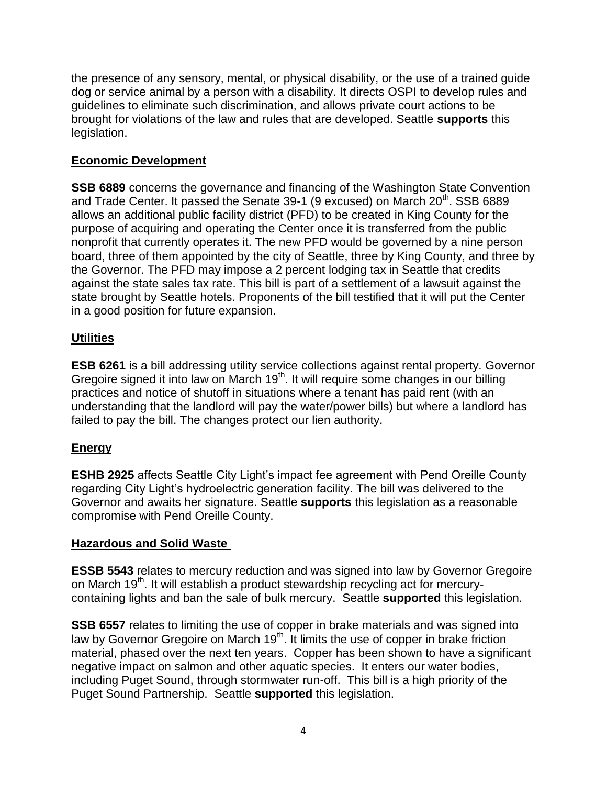the presence of any sensory, mental, or physical disability, or the use of a trained guide dog or service animal by a person with a disability. It directs OSPI to develop rules and guidelines to eliminate such discrimination, and allows private court actions to be brought for violations of the law and rules that are developed. Seattle **supports** this legislation.

## **Economic Development**

**SSB 6889** concerns the governance and financing of the Washington State Convention and Trade Center. It passed the Senate 39-1 (9 excused) on March  $20<sup>th</sup>$ . SSB 6889 allows an additional public facility district (PFD) to be created in King County for the purpose of acquiring and operating the Center once it is transferred from the public nonprofit that currently operates it. The new PFD would be governed by a nine person board, three of them appointed by the city of Seattle, three by King County, and three by the Governor. The PFD may impose a 2 percent lodging tax in Seattle that credits against the state sales tax rate. This bill is part of a settlement of a lawsuit against the state brought by Seattle hotels. Proponents of the bill testified that it will put the Center in a good position for future expansion.

#### **Utilities**

**ESB 6261** is a bill addressing utility service collections against rental property. Governor Gregoire signed it into law on March 19<sup>th</sup>. It will require some changes in our billing practices and notice of shutoff in situations where a tenant has paid rent (with an understanding that the landlord will pay the water/power bills) but where a landlord has failed to pay the bill. The changes protect our lien authority.

#### **Energy**

**ESHB 2925** affects Seattle City Light's impact fee agreement with Pend Oreille County regarding City Light's hydroelectric generation facility. The bill was delivered to the Governor and awaits her signature. Seattle **supports** this legislation as a reasonable compromise with Pend Oreille County.

#### **Hazardous and Solid Waste**

**ESSB 5543** relates to mercury reduction and was signed into law by Governor Gregoire on March 19<sup>th</sup>. It will establish a product stewardship recycling act for mercurycontaining lights and ban the sale of bulk mercury. Seattle **supported** this legislation.

**SSB 6557** relates to limiting the use of copper in brake materials and was signed into law by Governor Gregoire on March  $19<sup>th</sup>$ . It limits the use of copper in brake friction material, phased over the next ten years. Copper has been shown to have a significant negative impact on salmon and other aquatic species. It enters our water bodies, including Puget Sound, through stormwater run-off. This bill is a high priority of the Puget Sound Partnership. Seattle **supported** this legislation.